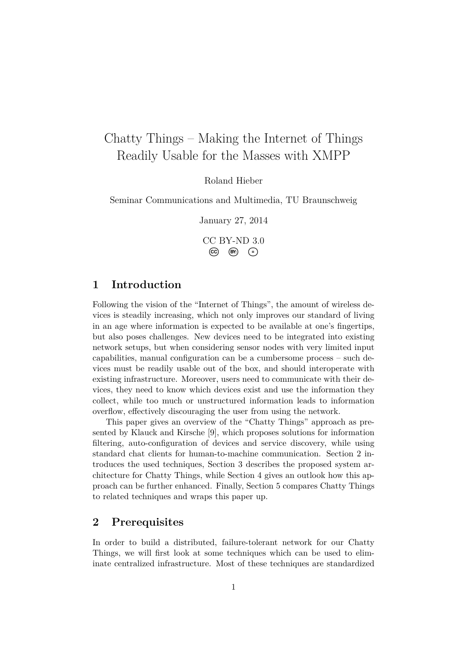# Chatty Things – Making the Internet of Things Readily Usable for the Masses with XMPP

Roland Hieber

Seminar Communications and Multimedia, TU Braunschweig

January 27, 2014

CC BY-ND 3.0 **CC BY: <sup>=</sup>**

## **1 Introduction**

Following the vision of the "Internet of Things", the amount of wireless devices is steadily increasing, which not only improves our standard of living in an age where information is expected to be available at one's fingertips, but also poses challenges. New devices need to be integrated into existing network setups, but when considering sensor nodes with very limited input capabilities, manual configuration can be a cumbersome process – such devices must be readily usable out of the box, and should interoperate with existing infrastructure. Moreover, users need to communicate with their devices, they need to know which devices exist and use the information they collect, while too much or unstructured information leads to information overflow, effectively discouraging the user from using the network.

This paper gives an overview of the "Chatty Things" approach as presented by Klauck and Kirsche [\[9\]](#page-14-0), which proposes solutions for information filtering, auto-configuration of devices and service discovery, while using standard chat clients for human-to-machine communication. Section [2](#page-0-0) introduces the used techniques, Section [3](#page-6-0) describes the proposed system architecture for Chatty Things, while Section [4](#page-9-0) gives an outlook how this approach can be further enhanced. Finally, Section [5](#page-11-0) compares Chatty Things to related techniques and wraps this paper up.

## <span id="page-0-0"></span>**2 Prerequisites**

In order to build a distributed, failure-tolerant network for our Chatty Things, we will first look at some techniques which can be used to eliminate centralized infrastructure. Most of these techniques are standardized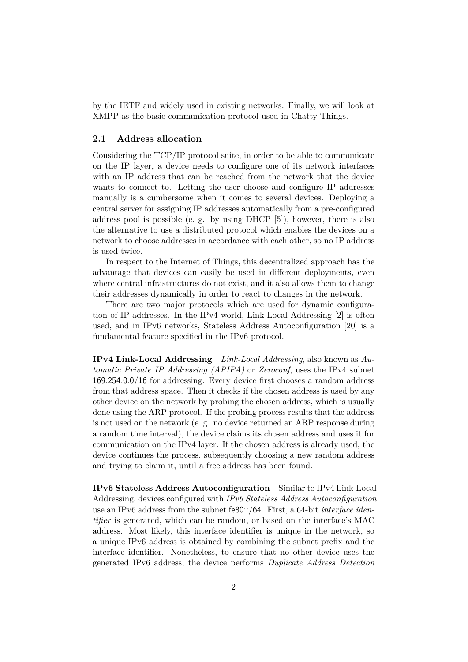by the IETF and widely used in existing networks. Finally, we will look at XMPP as the basic communication protocol used in Chatty Things.

#### **2.1 Address allocation**

Considering the TCP/IP protocol suite, in order to be able to communicate on the IP layer, a device needs to configure one of its network interfaces with an IP address that can be reached from the network that the device wants to connect to. Letting the user choose and configure IP addresses manually is a cumbersome when it comes to several devices. Deploying a central server for assigning IP addresses automatically from a pre-configured address pool is possible (e. g. by using DHCP [\[5\]](#page-14-1)), however, there is also the alternative to use a distributed protocol which enables the devices on a network to choose addresses in accordance with each other, so no IP address is used twice.

In respect to the Internet of Things, this decentralized approach has the advantage that devices can easily be used in different deployments, even where central infrastructures do not exist, and it also allows them to change their addresses dynamically in order to react to changes in the network.

There are two major protocols which are used for dynamic configuration of IP addresses. In the IPv4 world, Link-Local Addressing [\[2\]](#page-13-0) is often used, and in IPv6 networks, Stateless Address Autoconfiguration [\[20\]](#page-14-2) is a fundamental feature specified in the IPv6 protocol.

**IPv4 Link-Local Addressing** *Link-Local Addressing*, also known as *Automatic Private IP Addressing (APIPA)* or *Zeroconf*, uses the IPv4 subnet 169.254.0.0/16 for addressing. Every device first chooses a random address from that address space. Then it checks if the chosen address is used by any other device on the network by probing the chosen address, which is usually done using the ARP protocol. If the probing process results that the address is not used on the network (e. g. no device returned an ARP response during a random time interval), the device claims its chosen address and uses it for communication on the IPv4 layer. If the chosen address is already used, the device continues the process, subsequently choosing a new random address and trying to claim it, until a free address has been found.

**IPv6 Stateless Address Autoconfiguration** Similar to IPv4 Link-Local Addressing, devices configured with *IPv6 Stateless Address Autoconfiguration* use an IPv6 address from the subnet fe80::/64. First, a 64-bit *interface identifier* is generated, which can be random, or based on the interface's MAC address. Most likely, this interface identifier is unique in the network, so a unique IPv6 address is obtained by combining the subnet prefix and the interface identifier. Nonetheless, to ensure that no other device uses the generated IPv6 address, the device performs *Duplicate Address Detection*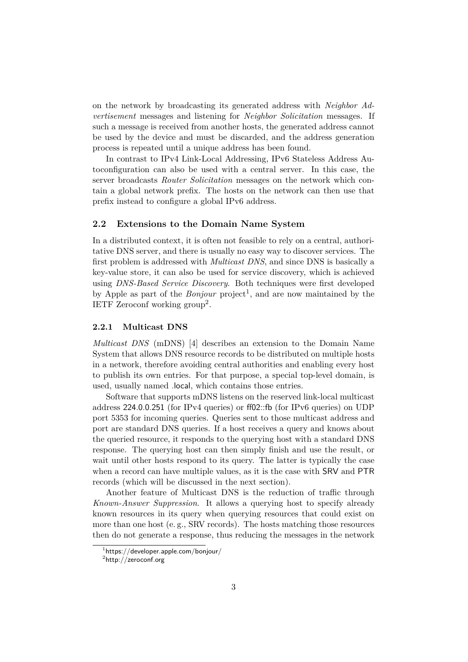on the network by broadcasting its generated address with *Neighbor Advertisement* messages and listening for *Neighbor Solicitation* messages. If such a message is received from another hosts, the generated address cannot be used by the device and must be discarded, and the address generation process is repeated until a unique address has been found.

In contrast to IPv4 Link-Local Addressing, IPv6 Stateless Address Autoconfiguration can also be used with a central server. In this case, the server broadcasts *Router Solicitation* messages on the network which contain a global network prefix. The hosts on the network can then use that prefix instead to configure a global IPv6 address.

#### <span id="page-2-2"></span>**2.2 Extensions to the Domain Name System**

In a distributed context, it is often not feasible to rely on a central, authoritative DNS server, and there is usually no easy way to discover services. The first problem is addressed with *Multicast DNS*, and since DNS is basically a key-value store, it can also be used for service discovery, which is achieved using *DNS-Based Service Discovery*. Both techniques were first developed by Apple as part of the *Bonjour* project<sup>[1](#page-2-0)</sup>, and are now maintained by the IETF Zeroconf working group<sup>[2](#page-2-1)</sup>.

#### **2.2.1 Multicast DNS**

*Multicast DNS* (mDNS) [\[4\]](#page-14-3) describes an extension to the Domain Name System that allows DNS resource records to be distributed on multiple hosts in a network, therefore avoiding central authorities and enabling every host to publish its own entries. For that purpose, a special top-level domain, is used, usually named .local, which contains those entries.

Software that supports mDNS listens on the reserved link-local multicast address 224.0.0.251 (for IPv4 queries) or ff02::fb (for IPv6 queries) on UDP port 5353 for incoming queries. Queries sent to those multicast address and port are standard DNS queries. If a host receives a query and knows about the queried resource, it responds to the querying host with a standard DNS response. The querying host can then simply finish and use the result, or wait until other hosts respond to its query. The latter is typically the case when a record can have multiple values, as it is the case with SRV and PTR records (which will be discussed in the next section).

Another feature of Multicast DNS is the reduction of traffic through *Known-Answer Suppression*. It allows a querying host to specify already known resources in its query when querying resources that could exist on more than one host (e. g., SRV records). The hosts matching those resources then do not generate a response, thus reducing the messages in the network

<span id="page-2-0"></span> $1$ <https://developer.apple.com/bonjour/>

<span id="page-2-1"></span> $^{2}$ <http://zeroconf.org>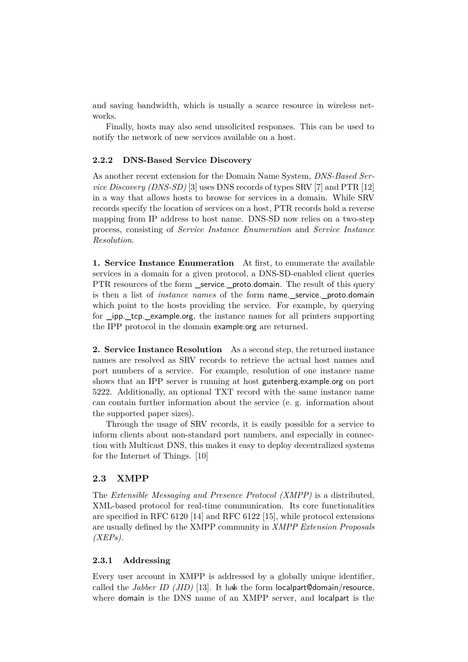and saving bandwidth, which is usually a scarce resource in wireless networks.

Finally, hosts may also send unsolicited responses. This can be used to notify the network of new services available on a host.

#### <span id="page-3-0"></span>**2.2.2 DNS-Based Service Discovery**

As another recent extension for the Domain Name System, *DNS-Based Service Discovery (DNS-SD)* [\[3\]](#page-14-4) uses DNS records of types SRV [\[7\]](#page-14-5) and PTR [\[12\]](#page-14-6) in a way that allows hosts to browse for services in a domain. While SRV records specify the location of services on a host, PTR records hold a reverse mapping from IP address to host name. DNS-SD now relies on a two-step process, consisting of *Service Instance Enumeration* and *Service Instance Resolution*.

**1. Service Instance Enumeration** At first, to enumerate the available services in a domain for a given protocol, a DNS-SD-enabled client queries PTR resources of the form service. proto.domain. The result of this query is then a list of *instance names* of the form name.\_service.\_proto.domain which point to the hosts providing the service. For example, by querying for \_ipp.\_tcp.\_example.org, the instance names for all printers supporting the IPP protocol in the domain example.org are returned.

**2. Service Instance Resolution** As a second step, the returned instance names are resolved as SRV records to retrieve the actual host names and port numbers of a service. For example, resolution of one instance name shows that an IPP server is running at host gutenberg.example.org on port 5222. Additionally, an optional TXT record with the same instance name can contain further information about the service (e. g. information about the supported paper sizes).

Through the usage of SRV records, it is easily possible for a service to inform clients about non-standard port numbers, and especially in connection with Multicast DNS, this makes it easy to deploy decentralized systems for the Internet of Things. [\[10\]](#page-14-7)

#### **2.3 XMPP**

The *Extensible Messaging and Presence Protocol (XMPP)* is a distributed, XML-based protocol for real-time communication. Its core functionalities are specified in RFC 6120 [\[14\]](#page-14-8) and RFC 6122 [\[15\]](#page-14-9), while protocol extensions are usually defined by the XMPP community in *XMPP Extension Proposals (XEPs)*.

#### **2.3.1 Addressing**

Every user account in XMPP is addressed by a globally unique identifier, called the *Jabber ID (JID)* [\[13\]](#page-14-10). It has the form localpart@domain/resource, where domain is the DNS name of an XMPP server, and localpart is the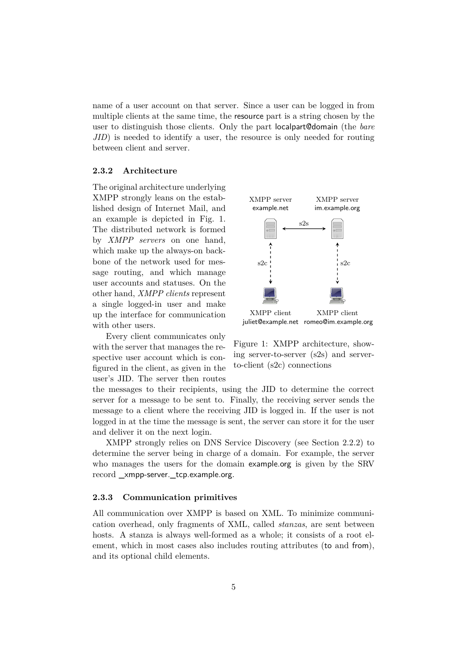name of a user account on that server. Since a user can be logged in from multiple clients at the same time, the resource part is a string chosen by the user to distinguish those clients. Only the part localpart@domain (the *bare JID*) is needed to identify a user, the resource is only needed for routing between client and server.

#### **2.3.2 Architecture**

The original architecture underlying XMPP strongly leans on the established design of Internet Mail, and an example is depicted in Fig. [1.](#page-4-0) The distributed network is formed by *XMPP servers* on one hand, which make up the always-on backbone of the network used for message routing, and which manage user accounts and statuses. On the other hand, *XMPP clients* represent a single logged-in user and make up the interface for communication with other users.

Every client communicates only with the server that manages the respective user account which is configured in the client, as given in the user's JID. The server then routes



<span id="page-4-0"></span>Figure 1: XMPP architecture, showing server-to-server (s2s) and serverto-client (s2c) connections

the messages to their recipients, using the JID to determine the correct server for a message to be sent to. Finally, the receiving server sends the message to a client where the receiving JID is logged in. If the user is not logged in at the time the message is sent, the server can store it for the user and deliver it on the next login.

XMPP strongly relies on DNS Service Discovery (see Section [2.2.2\)](#page-3-0) to determine the server being in charge of a domain. For example, the server who manages the users for the domain example.org is given by the SRV record \_xmpp-server.\_tcp.example.org.

#### **2.3.3 Communication primitives**

All communication over XMPP is based on XML. To minimize communication overhead, only fragments of XML, called *stanzas*, are sent between hosts. A stanza is always well-formed as a whole; it consists of a root element, which in most cases also includes routing attributes (to and from), and its optional child elements.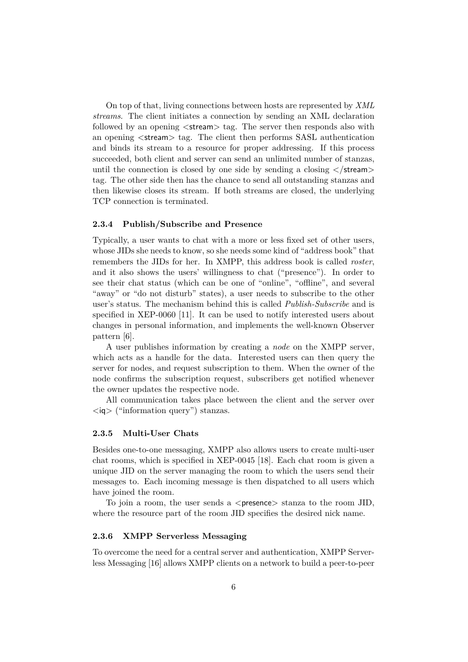On top of that, living connections between hosts are represented by *XML streams*. The client initiates a connection by sending an XML declaration followed by an opening  $\langle$  stream $\rangle$  tag. The server then responds also with an opening <stream> tag. The client then performs SASL authentication and binds its stream to a resource for proper addressing. If this process succeeded, both client and server can send an unlimited number of stanzas, until the connection is closed by one side by sending a closing  $\langle$ /stream> tag. The other side then has the chance to send all outstanding stanzas and then likewise closes its stream. If both streams are closed, the underlying TCP connection is terminated.

#### **2.3.4 Publish/Subscribe and Presence**

Typically, a user wants to chat with a more or less fixed set of other users, whose JIDs she needs to know, so she needs some kind of "address book" that remembers the JIDs for her. In XMPP, this address book is called *roster*, and it also shows the users' willingness to chat ("presence"). In order to see their chat status (which can be one of "online", "offline", and several "away" or "do not disturb" states), a user needs to subscribe to the other user's status. The mechanism behind this is called *Publish-Subscribe* and is specified in XEP-0060 [\[11\]](#page-14-11). It can be used to notify interested users about changes in personal information, and implements the well-known Observer pattern [\[6\]](#page-14-12).

A user publishes information by creating a *node* on the XMPP server, which acts as a handle for the data. Interested users can then query the server for nodes, and request subscription to them. When the owner of the node confirms the subscription request, subscribers get notified whenever the owner updates the respective node.

All communication takes place between the client and the server over  $\langle$ iq $\rangle$  ("information query") stanzas.

#### **2.3.5 Multi-User Chats**

Besides one-to-one messaging, XMPP also allows users to create multi-user chat rooms, which is specified in XEP-0045 [\[18\]](#page-14-13). Each chat room is given a unique JID on the server managing the room to which the users send their messages to. Each incoming message is then dispatched to all users which have joined the room.

To join a room, the user sends a  $\langle$  presence $\rangle$  stanza to the room JID, where the resource part of the room JID specifies the desired nick name.

#### **2.3.6 XMPP Serverless Messaging**

To overcome the need for a central server and authentication, XMPP Serverless Messaging [\[16\]](#page-14-14) allows XMPP clients on a network to build a peer-to-peer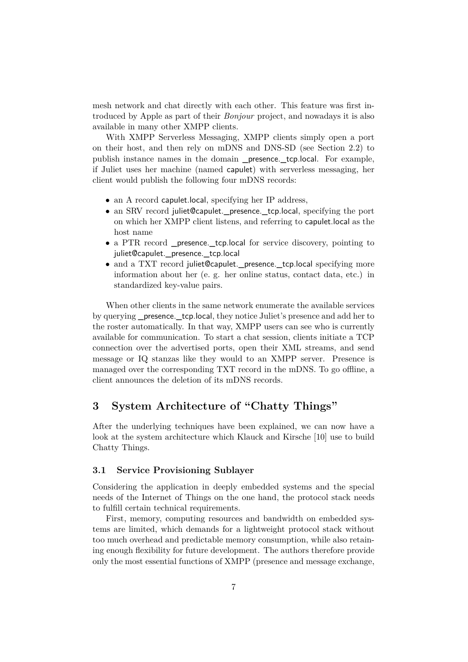mesh network and chat directly with each other. This feature was first introduced by Apple as part of their *Bonjour* project, and nowadays it is also available in many other XMPP clients.

With XMPP Serverless Messaging, XMPP clients simply open a port on their host, and then rely on mDNS and DNS-SD (see Section [2.2\)](#page-2-2) to publish instance names in the domain \_presence.\_tcp.local. For example, if Juliet uses her machine (named capulet) with serverless messaging, her client would publish the following four mDNS records:

- an A record capulet.local, specifying her IP address,
- an SRV record juliet@capulet. presence. tcp.local, specifying the port on which her XMPP client listens, and referring to capulet.local as the host name
- a PTR record \_presence.\_tcp.local for service discovery, pointing to juliet@capulet.\_presence.\_tcp.local
- and a TXT record juliet@capulet. presence. tcp.local specifying more information about her (e. g. her online status, contact data, etc.) in standardized key-value pairs.

When other clients in the same network enumerate the available services by querying \_presence.\_tcp.local, they notice Juliet's presence and add her to the roster automatically. In that way, XMPP users can see who is currently available for communication. To start a chat session, clients initiate a TCP connection over the advertised ports, open their XML streams, and send message or IQ stanzas like they would to an XMPP server. Presence is managed over the corresponding TXT record in the mDNS. To go offline, a client announces the deletion of its mDNS records.

## <span id="page-6-0"></span>**3 System Architecture of "Chatty Things"**

After the underlying techniques have been explained, we can now have a look at the system architecture which Klauck and Kirsche [\[10\]](#page-14-7) use to build Chatty Things.

#### **3.1 Service Provisioning Sublayer**

Considering the application in deeply embedded systems and the special needs of the Internet of Things on the one hand, the protocol stack needs to fulfill certain technical requirements.

First, memory, computing resources and bandwidth on embedded systems are limited, which demands for a lightweight protocol stack without too much overhead and predictable memory consumption, while also retaining enough flexibility for future development. The authors therefore provide only the most essential functions of XMPP (presence and message exchange,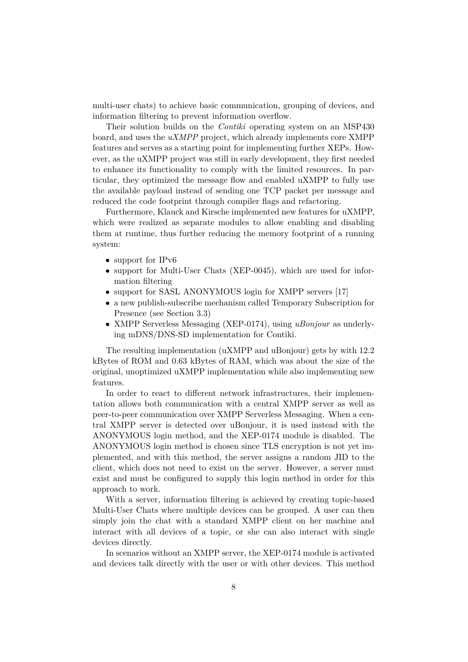multi-user chats) to achieve basic communication, grouping of devices, and information filtering to prevent information overflow.

Their solution builds on the *Contiki* operating system on an MSP430 board, and uses the *uXMPP* project, which already implements core XMPP features and serves as a starting point for implementing further XEPs. However, as the uXMPP project was still in early development, they first needed to enhance its functionality to comply with the limited resources. In particular, they optimized the message flow and enabled uXMPP to fully use the available payload instead of sending one TCP packet per message and reduced the code footprint through compiler flags and refactoring.

Furthermore, Klauck and Kirsche implemented new features for uXMPP, which were realized as separate modules to allow enabling and disabling them at runtime, thus further reducing the memory footprint of a running system:

- support for IPv6
- support for Multi-User Chats (XEP-0045), which are used for information filtering
- support for SASL ANONYMOUS login for XMPP servers [\[17\]](#page-14-15)
- a new publish-subscribe mechanism called Temporary Subscription for Presence (see Section [3.3\)](#page-8-0)
- XMPP Serverless Messaging (XEP-0174), using *uBonjour* as underlying mDNS/DNS-SD implementation for Contiki.

The resulting implementation (uXMPP and uBonjour) gets by with 12.2 kBytes of ROM and 0.63 kBytes of RAM, which was about the size of the original, unoptimized uXMPP implementation while also implementing new features.

In order to react to different network infrastructures, their implementation allows both communication with a central XMPP server as well as peer-to-peer communication over XMPP Serverless Messaging. When a central XMPP server is detected over uBonjour, it is used instead with the ANONYMOUS login method, and the XEP-0174 module is disabled. The ANONYMOUS login method is chosen since TLS encryption is not yet implemented, and with this method, the server assigns a random JID to the client, which does not need to exist on the server. However, a server must exist and must be configured to supply this login method in order for this approach to work.

With a server, information filtering is achieved by creating topic-based Multi-User Chats where multiple devices can be grouped. A user can then simply join the chat with a standard XMPP client on her machine and interact with all devices of a topic, or she can also interact with single devices directly.

In scenarios without an XMPP server, the XEP-0174 module is activated and devices talk directly with the user or with other devices. This method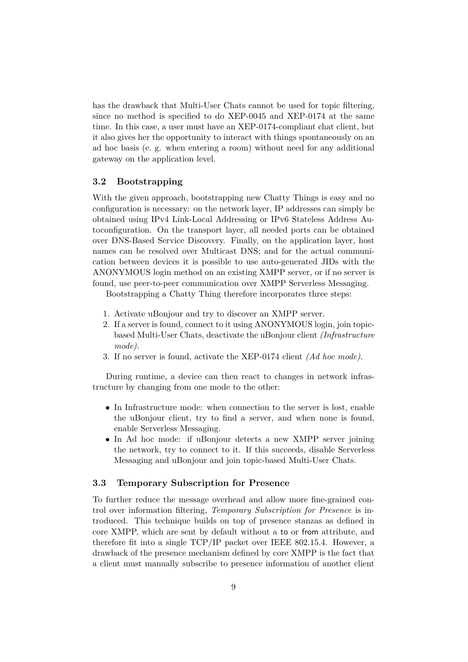has the drawback that Multi-User Chats cannot be used for topic filtering, since no method is specified to do XEP-0045 and XEP-0174 at the same time. In this case, a user must have an XEP-0174-compliant chat client, but it also gives her the opportunity to interact with things spontaneously on an ad hoc basis (e. g. when entering a room) without need for any additional gateway on the application level.

#### **3.2 Bootstrapping**

With the given approach, bootstrapping new Chatty Things is easy and no configuration is necessary: on the network layer, IP addresses can simply be obtained using IPv4 Link-Local Addressing or IPv6 Stateless Address Autoconfiguration. On the transport layer, all needed ports can be obtained over DNS-Based Service Discovery. Finally, on the application layer, host names can be resolved over Multicast DNS; and for the actual communication between devices it is possible to use auto-generated JIDs with the ANONYMOUS login method on an existing XMPP server, or if no server is found, use peer-to-peer communication over XMPP Serverless Messaging.

Bootstrapping a Chatty Thing therefore incorporates three steps:

- 1. Activate uBonjour and try to discover an XMPP server.
- 2. If a server is found, connect to it using ANONYMOUS login, join topicbased Multi-User Chats, deactivate the uBonjour client *(Infrastructure mode).*
- 3. If no server is found, activate the XEP-0174 client *(Ad hoc mode)*.

During runtime, a device can then react to changes in network infrastructure by changing from one mode to the other:

- In Infrastructure mode: when connection to the server is lost, enable the uBonjour client, try to find a server, and when none is found, enable Serverless Messaging.
- In Ad hoc mode: if uBonjour detects a new XMPP server joining the network, try to connect to it. If this succeeds, disable Serverless Messaging and uBonjour and join topic-based Multi-User Chats.

#### <span id="page-8-0"></span>**3.3 Temporary Subscription for Presence**

To further reduce the message overhead and allow more fine-grained control over information filtering, *Temporary Subscription for Presence* is introduced. This technique builds on top of presence stanzas as defined in core XMPP, which are sent by default without a to or from attribute, and therefore fit into a single TCP/IP packet over IEEE 802.15.4. However, a drawback of the presence mechanism defined by core XMPP is the fact that a client must manually subscribe to presence information of another client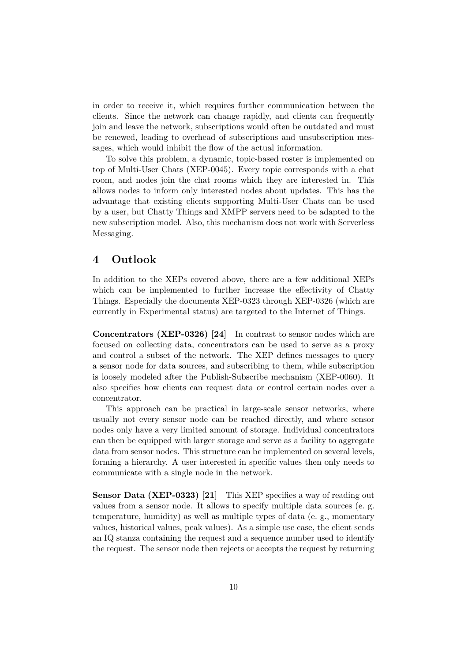in order to receive it, which requires further communication between the clients. Since the network can change rapidly, and clients can frequently join and leave the network, subscriptions would often be outdated and must be renewed, leading to overhead of subscriptions and unsubscription messages, which would inhibit the flow of the actual information.

To solve this problem, a dynamic, topic-based roster is implemented on top of Multi-User Chats (XEP-0045). Every topic corresponds with a chat room, and nodes join the chat rooms which they are interested in. This allows nodes to inform only interested nodes about updates. This has the advantage that existing clients supporting Multi-User Chats can be used by a user, but Chatty Things and XMPP servers need to be adapted to the new subscription model. Also, this mechanism does not work with Serverless Messaging.

## <span id="page-9-0"></span>**4 Outlook**

In addition to the XEPs covered above, there are a few additional XEPs which can be implemented to further increase the effectivity of Chatty Things. Especially the documents XEP-0323 through XEP-0326 (which are currently in Experimental status) are targeted to the Internet of Things.

**Concentrators (XEP-0326) [\[24\]](#page-15-0)** In contrast to sensor nodes which are focused on collecting data, concentrators can be used to serve as a proxy and control a subset of the network. The XEP defines messages to query a sensor node for data sources, and subscribing to them, while subscription is loosely modeled after the Publish-Subscribe mechanism (XEP-0060). It also specifies how clients can request data or control certain nodes over a concentrator.

This approach can be practical in large-scale sensor networks, where usually not every sensor node can be reached directly, and where sensor nodes only have a very limited amount of storage. Individual concentrators can then be equipped with larger storage and serve as a facility to aggregate data from sensor nodes. This structure can be implemented on several levels, forming a hierarchy. A user interested in specific values then only needs to communicate with a single node in the network.

**Sensor Data (XEP-0323) [\[21\]](#page-14-16)** This XEP specifies a way of reading out values from a sensor node. It allows to specify multiple data sources (e. g. temperature, humidity) as well as multiple types of data (e. g., momentary values, historical values, peak values). As a simple use case, the client sends an IQ stanza containing the request and a sequence number used to identify the request. The sensor node then rejects or accepts the request by returning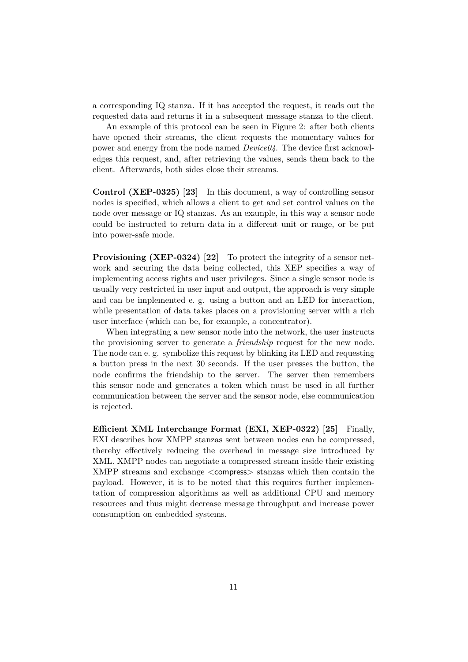a corresponding IQ stanza. If it has accepted the request, it reads out the requested data and returns it in a subsequent message stanza to the client.

An example of this protocol can be seen in Figure [2:](#page-11-1) after both clients have opened their streams, the client requests the momentary values for power and energy from the node named *Device04*. The device first acknowledges this request, and, after retrieving the values, sends them back to the client. Afterwards, both sides close their streams.

**Control (XEP-0325) [\[23\]](#page-14-17)** In this document, a way of controlling sensor nodes is specified, which allows a client to get and set control values on the node over message or IQ stanzas. As an example, in this way a sensor node could be instructed to return data in a different unit or range, or be put into power-safe mode.

**Provisioning (XEP-0324) [\[22\]](#page-14-18)** To protect the integrity of a sensor network and securing the data being collected, this XEP specifies a way of implementing access rights and user privileges. Since a single sensor node is usually very restricted in user input and output, the approach is very simple and can be implemented e. g. using a button and an LED for interaction, while presentation of data takes places on a provisioning server with a rich user interface (which can be, for example, a concentrator).

When integrating a new sensor node into the network, the user instructs the provisioning server to generate a *friendship* request for the new node. The node can e. g. symbolize this request by blinking its LED and requesting a button press in the next 30 seconds. If the user presses the button, the node confirms the friendship to the server. The server then remembers this sensor node and generates a token which must be used in all further communication between the server and the sensor node, else communication is rejected.

**Efficient XML Interchange Format (EXI, XEP-0322) [\[25\]](#page-15-1)** Finally, EXI describes how XMPP stanzas sent between nodes can be compressed, thereby effectively reducing the overhead in message size introduced by XML. XMPP nodes can negotiate a compressed stream inside their existing XMPP streams and exchange <compress> stanzas which then contain the payload. However, it is to be noted that this requires further implementation of compression algorithms as well as additional CPU and memory resources and thus might decrease message throughput and increase power consumption on embedded systems.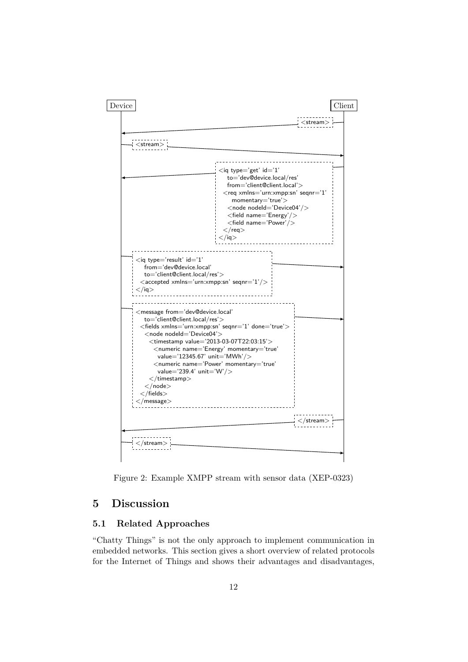

<span id="page-11-1"></span>Figure 2: Example XMPP stream with sensor data (XEP-0323)

## <span id="page-11-0"></span>**5 Discussion**

#### **5.1 Related Approaches**

"Chatty Things" is not the only approach to implement communication in embedded networks. This section gives a short overview of related protocols for the Internet of Things and shows their advantages and disadvantages,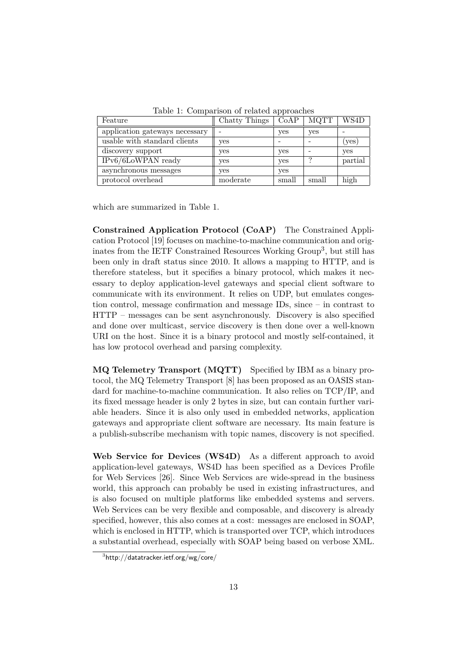| Feature                        | Chatty Things | CoAP  | <b>MQTT</b> | WS4D             |
|--------------------------------|---------------|-------|-------------|------------------|
|                                |               |       |             |                  |
| application gateways necessary |               | yes   | yes         |                  |
| usable with standard clients   | ves           |       |             | $(\mathrm{yes})$ |
| discovery support              | ves           | yes   |             | yes              |
| IPv6/6LoWPAN ready             | ves           | yes   | ച           | partial          |
| asynchronous messages          | ves           | yes   |             |                  |
| protocol overhead              | moderate      | small | small       | high             |

<span id="page-12-0"></span>Table 1: Comparison of related approaches

which are summarized in Table [1.](#page-12-0)

**Constrained Application Protocol (CoAP)** The Constrained Application Protocol [\[19\]](#page-14-19) focuses on machine-to-machine communication and originates from the IETF Constrained Resources Working Group[3](#page-12-1) , but still has been only in draft status since 2010. It allows a mapping to HTTP, and is therefore stateless, but it specifies a binary protocol, which makes it necessary to deploy application-level gateways and special client software to communicate with its environment. It relies on UDP, but emulates congestion control, message confirmation and message IDs, since – in contrast to HTTP – messages can be sent asynchronously. Discovery is also specified and done over multicast, service discovery is then done over a well-known URI on the host. Since it is a binary protocol and mostly self-contained, it has low protocol overhead and parsing complexity.

**MQ Telemetry Transport (MQTT)** Specified by IBM as a binary protocol, the MQ Telemetry Transport [\[8\]](#page-14-20) has been proposed as an OASIS standard for machine-to-machine communication. It also relies on TCP/IP, and its fixed message header is only 2 bytes in size, but can contain further variable headers. Since it is also only used in embedded networks, application gateways and appropriate client software are necessary. Its main feature is a publish-subscribe mechanism with topic names, discovery is not specified.

**Web Service for Devices (WS4D)** As a different approach to avoid application-level gateways, WS4D has been specified as a Devices Profile for Web Services [\[26\]](#page-15-2). Since Web Services are wide-spread in the business world, this approach can probably be used in existing infrastructures, and is also focused on multiple platforms like embedded systems and servers. Web Services can be very flexible and composable, and discovery is already specified, however, this also comes at a cost: messages are enclosed in SOAP, which is enclosed in HTTP, which is transported over TCP, which introduces a substantial overhead, especially with SOAP being based on verbose XML.

<span id="page-12-1"></span> $^3$ <http://datatracker.ietf.org/wg/core/>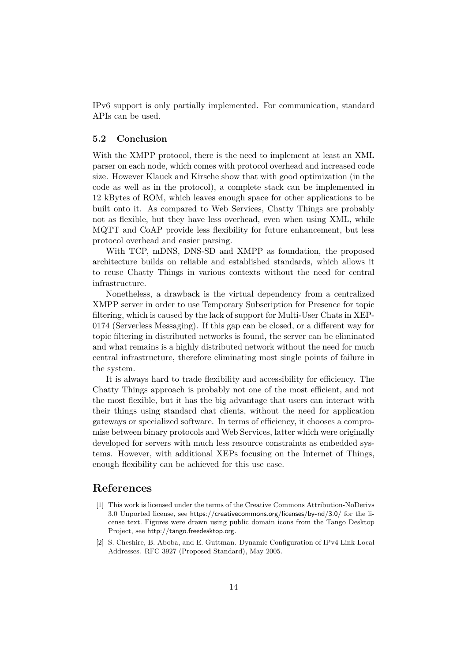IPv6 support is only partially implemented. For communication, standard APIs can be used.

#### **5.2 Conclusion**

With the XMPP protocol, there is the need to implement at least an XML parser on each node, which comes with protocol overhead and increased code size. However Klauck and Kirsche show that with good optimization (in the code as well as in the protocol), a complete stack can be implemented in 12 kBytes of ROM, which leaves enough space for other applications to be built onto it. As compared to Web Services, Chatty Things are probably not as flexible, but they have less overhead, even when using XML, while MQTT and CoAP provide less flexibility for future enhancement, but less protocol overhead and easier parsing.

With TCP, mDNS, DNS-SD and XMPP as foundation, the proposed architecture builds on reliable and established standards, which allows it to reuse Chatty Things in various contexts without the need for central infrastructure.

Nonetheless, a drawback is the virtual dependency from a centralized XMPP server in order to use Temporary Subscription for Presence for topic filtering, which is caused by the lack of support for Multi-User Chats in XEP-0174 (Serverless Messaging). If this gap can be closed, or a different way for topic filtering in distributed networks is found, the server can be eliminated and what remains is a highly distributed network without the need for much central infrastructure, therefore eliminating most single points of failure in the system.

It is always hard to trade flexibility and accessibility for efficiency. The Chatty Things approach is probably not one of the most efficient, and not the most flexible, but it has the big advantage that users can interact with their things using standard chat clients, without the need for application gateways or specialized software. In terms of efficiency, it chooses a compromise between binary protocols and Web Services, latter which were originally developed for servers with much less resource constraints as embedded systems. However, with additional XEPs focusing on the Internet of Things, enough flexibility can be achieved for this use case.

### **References**

- [1] This work is licensed under the terms of the Creative Commons Attribution-NoDerivs 3.0 Unported license, see <https://creativecommons.org/licenses/by-nd/3.0/> for the license text. Figures were drawn using public domain icons from the Tango Desktop Project, see <http://tango.freedesktop.org>.
- <span id="page-13-0"></span>[2] S. Cheshire, B. Aboba, and E. Guttman. Dynamic Configuration of IPv4 Link-Local Addresses. RFC 3927 (Proposed Standard), May 2005.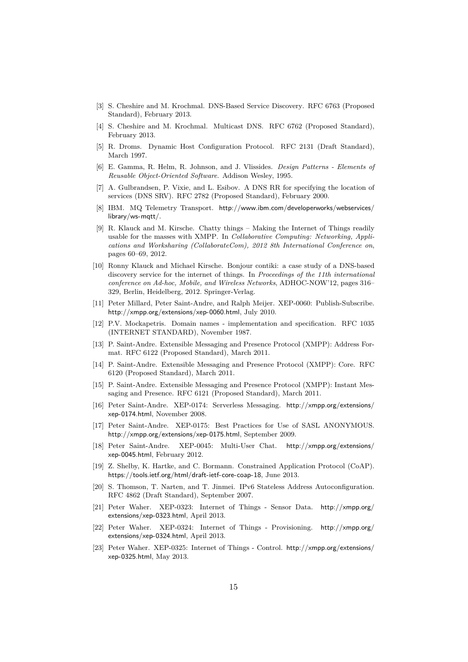- <span id="page-14-4"></span>[3] S. Cheshire and M. Krochmal. DNS-Based Service Discovery. RFC 6763 (Proposed Standard), February 2013.
- <span id="page-14-3"></span>[4] S. Cheshire and M. Krochmal. Multicast DNS. RFC 6762 (Proposed Standard), February 2013.
- <span id="page-14-1"></span>[5] R. Droms. Dynamic Host Configuration Protocol. RFC 2131 (Draft Standard), March 1997.
- <span id="page-14-12"></span>[6] E. Gamma, R. Helm, R. Johnson, and J. Vlissides. *Design Patterns - Elements of Reusable Object-Oriented Software*. Addison Wesley, 1995.
- <span id="page-14-5"></span>[7] A. Gulbrandsen, P. Vixie, and L. Esibov. A DNS RR for specifying the location of services (DNS SRV). RFC 2782 (Proposed Standard), February 2000.
- <span id="page-14-20"></span>[8] IBM. MQ Telemetry Transport. [http://www.ibm.com/developerworks/webservices/](http://www.ibm.com/developerworks/webservices/library/ws-mqtt/) [library/ws-mqtt/](http://www.ibm.com/developerworks/webservices/library/ws-mqtt/).
- <span id="page-14-0"></span>[9] R. Klauck and M. Kirsche. Chatty things – Making the Internet of Things readily usable for the masses with XMPP. In *Collaborative Computing: Networking, Applications and Worksharing (CollaborateCom), 2012 8th International Conference on*, pages 60–69, 2012.
- <span id="page-14-7"></span>[10] Ronny Klauck and Michael Kirsche. Bonjour contiki: a case study of a DNS-based discovery service for the internet of things. In *Proceedings of the 11th international conference on Ad-hoc, Mobile, and Wireless Networks*, ADHOC-NOW'12, pages 316– 329, Berlin, Heidelberg, 2012. Springer-Verlag.
- <span id="page-14-11"></span>[11] Peter Millard, Peter Saint-Andre, and Ralph Meijer. XEP-0060: Publish-Subscribe. <http://xmpp.org/extensions/xep-0060.html>, July 2010.
- <span id="page-14-6"></span>[12] P.V. Mockapetris. Domain names - implementation and specification. RFC 1035 (INTERNET STANDARD), November 1987.
- <span id="page-14-10"></span>[13] P. Saint-Andre. Extensible Messaging and Presence Protocol (XMPP): Address Format. RFC 6122 (Proposed Standard), March 2011.
- <span id="page-14-8"></span>[14] P. Saint-Andre. Extensible Messaging and Presence Protocol (XMPP): Core. RFC 6120 (Proposed Standard), March 2011.
- <span id="page-14-9"></span>[15] P. Saint-Andre. Extensible Messaging and Presence Protocol (XMPP): Instant Messaging and Presence. RFC 6121 (Proposed Standard), March 2011.
- <span id="page-14-14"></span>[16] Peter Saint-Andre. XEP-0174: Serverless Messaging. [http://xmpp.org/extensions/](http://xmpp.org/extensions/xep-0174.html) [xep-0174.html](http://xmpp.org/extensions/xep-0174.html), November 2008.
- <span id="page-14-15"></span>[17] Peter Saint-Andre. XEP-0175: Best Practices for Use of SASL ANONYMOUS. <http://xmpp.org/extensions/xep-0175.html>, September 2009.
- <span id="page-14-13"></span>[18] Peter Saint-Andre. XEP-0045: Multi-User Chat. [http://xmpp.org/extensions/](http://xmpp.org/extensions/xep-0045.html) [xep-0045.html](http://xmpp.org/extensions/xep-0045.html), February 2012.
- <span id="page-14-19"></span>[19] Z. Shelby, K. Hartke, and C. Bormann. Constrained Application Protocol (CoAP). <https://tools.ietf.org/html/draft-ietf-core-coap-18>, June 2013.
- <span id="page-14-2"></span>[20] S. Thomson, T. Narten, and T. Jinmei. IPv6 Stateless Address Autoconfiguration. RFC 4862 (Draft Standard), September 2007.
- <span id="page-14-16"></span>[21] Peter Waher. XEP-0323: Internet of Things - Sensor Data. [http://xmpp.org/](http://xmpp.org/extensions/xep-0323.html) [extensions/xep-0323.html](http://xmpp.org/extensions/xep-0323.html), April 2013.
- <span id="page-14-18"></span>[22] Peter Waher. XEP-0324: Internet of Things - Provisioning. [http://xmpp.org/](http://xmpp.org/extensions/xep-0324.html) [extensions/xep-0324.html](http://xmpp.org/extensions/xep-0324.html), April 2013.
- <span id="page-14-17"></span>[23] Peter Waher. XEP-0325: Internet of Things - Control. [http://xmpp.org/extensions/](http://xmpp.org/extensions/xep-0325.html) [xep-0325.html](http://xmpp.org/extensions/xep-0325.html), May 2013.